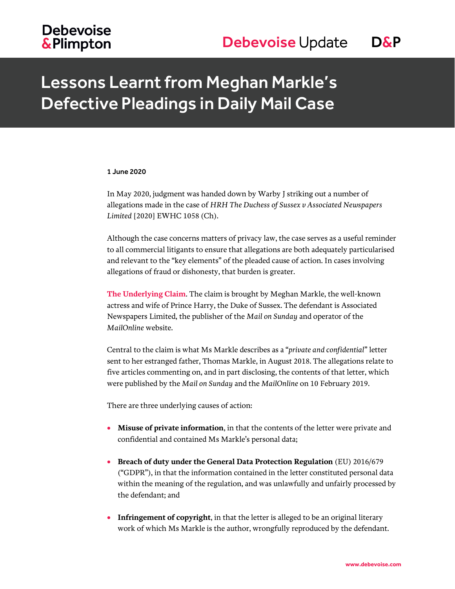## **Debevoise &Plimpton**

## Lessons Learnt from Meghan Markle's Defective Pleadings in Daily Mail Case

#### 1 June 2020

In May 2020, judgment was handed down by Warby J striking out a number of allegations made in the case of *HRH The Duchess of Sussex v Associated Newspapers Limited* [2020] EWHC 1058 (Ch).

Although the case concerns matters of privacy law, the case serves as a useful reminder to all commercial litigants to ensure that allegations are both adequately particularised and relevant to the "key elements" of the pleaded cause of action. In cases involving allegations of fraud or dishonesty, that burden is greater.

**The Underlying Claim**. The claim is brought by Meghan Markle, the well-known actress and wife of Prince Harry, the Duke of Sussex. The defendant is Associated Newspapers Limited, the publisher of the *Mail on Sunday* and operator of the *MailOnline* website.

Central to the claim is what Ms Markle describes as a "*private and confidential*" letter sent to her estranged father, Thomas Markle, in August 2018. The allegations relate to five articles commenting on, and in part disclosing, the contents of that letter, which were published by the *Mail on Sunday* and the *MailOnline* on 10 February 2019.

There are three underlying causes of action:

- **Misuse of private information**, in that the contents of the letter were private and confidential and contained Ms Markle's personal data;
- **Breach of duty under the General Data Protection Regulation** (EU) 2016/679 ("GDPR"), in that the information contained in the letter constituted personal data within the meaning of the regulation, and was unlawfully and unfairly processed by the defendant; and
- **Infringement of copyright**, in that the letter is alleged to be an original literary work of which Ms Markle is the author, wrongfully reproduced by the defendant.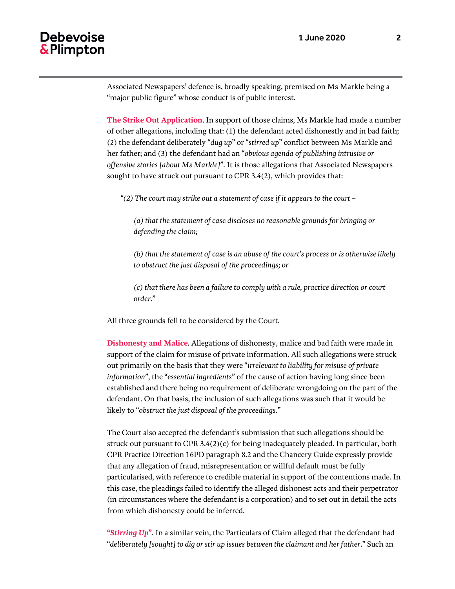#### **Debevoise** & Plimpton

Associated Newspapers' defence is, broadly speaking, premised on Ms Markle being a "major public figure" whose conduct is of public interest.

**The Strike Out Application**. In support of those claims, Ms Markle had made a number of other allegations, including that: (1) the defendant acted dishonestly and in bad faith; (2) the defendant deliberately "*dug up*" or "*stirred up*" conflict between Ms Markle and her father; and (3) the defendant had an "*obvious agenda of publishing intrusive or offensive stories [about Ms Markle]*". It is those allegations that Associated Newspapers sought to have struck out pursuant to CPR 3.4(2), which provides that:

*"(2) The court may strike out a statement of case if it appears to the court –*

*(a) that the statement of case discloses no reasonable grounds for bringing or defending the claim;*

*(b) that the statement of case is an abuse of the court's process or is otherwise likely to obstruct the just disposal of the proceedings; or*

*(c) that there has been a failure to comply with a rule, practice direction or court order.*"

All three grounds fell to be considered by the Court.

**Dishonesty and Malice**. Allegations of dishonesty, malice and bad faith were made in support of the claim for misuse of private information. All such allegations were struck out primarily on the basis that they were "*irrelevant to liability for misuse of private information*", the "*essential ingredients*" of the cause of action having long since been established and there being no requirement of deliberate wrongdoing on the part of the defendant. On that basis, the inclusion of such allegations was such that it would be likely to "*obstruct the just disposal of the proceedings*."

The Court also accepted the defendant's submission that such allegations should be struck out pursuant to CPR 3.4(2)(c) for being inadequately pleaded. In particular, both CPR Practice Direction 16PD paragraph 8.2 and the Chancery Guide expressly provide that any allegation of fraud, misrepresentation or willful default must be fully particularised, with reference to credible material in support of the contentions made. In this case, the pleadings failed to identify the alleged dishonest acts and their perpetrator (in circumstances where the defendant is a corporation) and to set out in detail the acts from which dishonesty could be inferred.

**"***Stirring Up***"**. In a similar vein, the Particulars of Claim alleged that the defendant had "*deliberately [sought] to dig or stir up issues between the claimant and her father*." Such an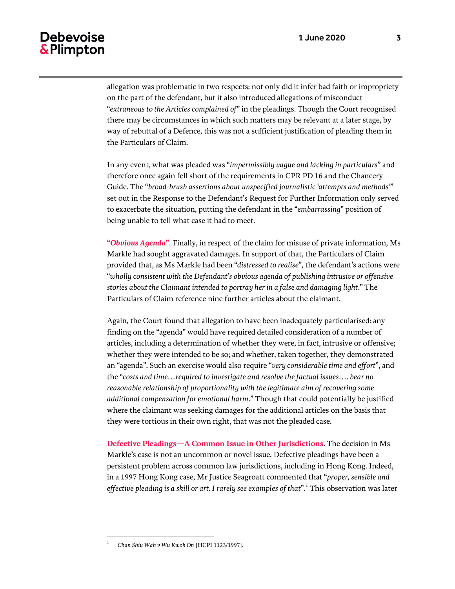#### **Debevoise** & Plimpton

allegation was problematic in two respects: not only did it infer bad faith or impropriety on the part of the defendant, but it also introduced allegations of misconduct "*extraneous to the Articles complained of*" in the pleadings. Though the Court recognised there may be circumstances in which such matters may be relevant at a later stage, by way of rebuttal of a Defence, this was not a sufficient justification of pleading them in the Particulars of Claim.

In any event, what was pleaded was "*impermissibly vague and lacking in particulars*" and therefore once again fell short of the requirements in CPR PD 16 and the Chancery Guide. The "*broad-brush assertions about unspecified journalistic 'attempts and methods'*" set out in the Response to the Defendant's Request for Further Information only served to exacerbate the situation, putting the defendant in the "*embarrassing*" position of being unable to tell what case it had to meet.

**"***Obvious Agenda***"**. Finally, in respect of the claim for misuse of private information, Ms Markle had sought aggravated damages. In support of that, the Particulars of Claim provided that, as Ms Markle had been "*distressed to realise*", the defendant's actions were "*wholly consistent with the Defendant's obvious agenda of publishing intrusive or offensive stories about the Claimant intended to portray her in a false and damaging light*." The Particulars of Claim reference nine further articles about the claimant.

Again, the Court found that allegation to have been inadequately particularised: any finding on the "agenda" would have required detailed consideration of a number of articles, including a determination of whether they were, in fact, intrusive or offensive; whether they were intended to be so; and whether, taken together, they demonstrated an "agenda". Such an exercise would also require "*very considerable time and effort*", and the "*costs and time…required to investigate and resolve the factual issues…. bear no reasonable relationship of proportionality with the legitimate aim of recovering some additional compensation for emotional harm*." Though that could potentially be justified where the claimant was seeking damages for the additional articles on the basis that they were tortious in their own right, that was not the pleaded case.

**Defective Pleadings—A Common Issue in Other Jurisdictions**. The decision in Ms Markle's case is not an uncommon or novel issue. Defective pleadings have been a persistent problem across common law jurisdictions, including in Hong Kong. Indeed, in a 1997 Hong Kong case, Mr Justice Seagroatt commented that "*proper, sensible and*  effective pleading is a skill or art. I rarely see examples of that".<sup>1</sup> This observation was later

 $\overline{a}$ 1

*Chan Shiu Wah v Wu Kwok On* [HCPI 1123/1997].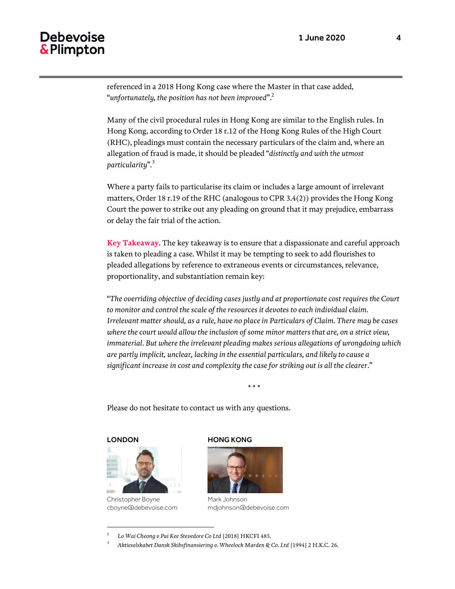### **Debevoise** & Plimpton

referenced in a 2018 Hong Kong case where the Master in that case added, "*unfortunately, the position has not been improved*".<sup>2</sup>

Many of the civil procedural rules in Hong Kong are similar to the English rules. In Hong Kong, according to Order 18 r.12 of the Hong Kong Rules of the High Court (RHC), pleadings must contain the necessary particulars of the claim and, where an allegation of fraud is made, it should be pleaded "*distinctly and with the utmost particularity*". 3

Where a party fails to particularise its claim or includes a large amount of irrelevant matters, Order 18 r.19 of the RHC (analogous to CPR 3.4(2)) provides the Hong Kong Court the power to strike out any pleading on ground that it may prejudice, embarrass or delay the fair trial of the action.

**Key Takeaway**. The key takeaway is to ensure that a dispassionate and careful approach is taken to pleading a case. Whilst it may be tempting to seek to add flourishes to pleaded allegations by reference to extraneous events or circumstances, relevance, proportionality, and substantiation remain key:

"*The overriding objective of deciding cases justly and at proportionate cost requires the Court to monitor and control the scale of the resources it devotes to each individual claim. Irrelevant matter should, as a rule, have no place in Particulars of Claim. There may be cases where the court would allow the inclusion of some minor matters that are, on a strict view, immaterial. But where the irrelevant pleading makes serious allegations of wrongdoing which are partly implicit, unclear, lacking in the essential particulars, and likely to cause a significant increase in cost and complexity the case for striking out is all the clearer*."

\* \* \*

Please do not hesitate to contact us with any questions.

LONDON

 $\overline{a}$ 



Christopher Boyne cboyne@debevoise.com

#### HONG KONG



Mark Johnson mdjohnson@debevoise.com

<sup>2</sup> *Lo Wai Cheong v Pui Kee Stevedore Co Ltd* [2018] HKCFI 485.

<sup>3</sup> *Aktieselskabet Dansk Skibsfinansiering v. Wheelock Marden & Co. Ltd* [1994] 2 H.K.C. 26.